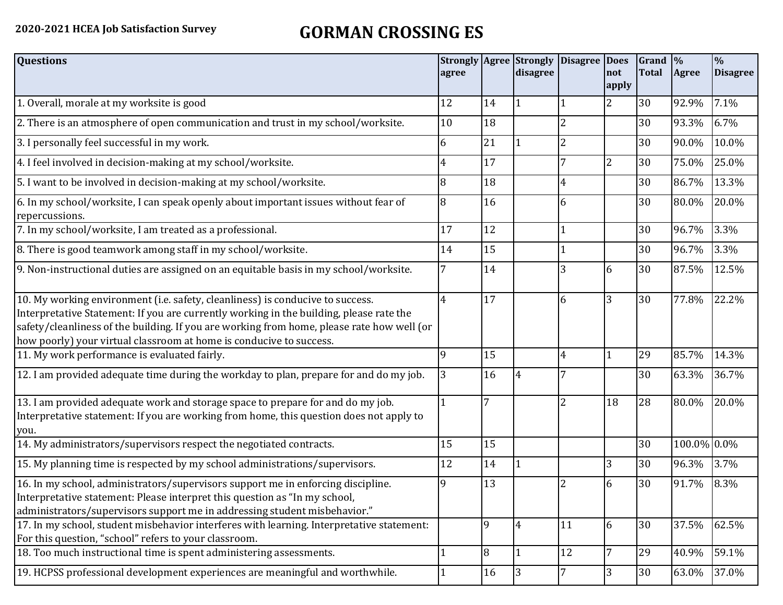## **2020-2021 HCEA Job Satisfaction Survey GORMAN CROSSING ES**

| <b>Questions</b>                                                                                                                                                                                                                                                                                                                               | agree |    | <b>Strongly Agree Strongly</b><br>disagree | Disagree Does  | not            | $\vert$ Grand $\vert\%$<br><b>Total</b> | Agree       | $\frac{0}{0}$<br><b>Disagree</b> |
|------------------------------------------------------------------------------------------------------------------------------------------------------------------------------------------------------------------------------------------------------------------------------------------------------------------------------------------------|-------|----|--------------------------------------------|----------------|----------------|-----------------------------------------|-------------|----------------------------------|
|                                                                                                                                                                                                                                                                                                                                                |       |    |                                            |                | apply          |                                         |             |                                  |
| 1. Overall, morale at my worksite is good                                                                                                                                                                                                                                                                                                      | 12    | 14 |                                            |                | $\overline{2}$ | 30                                      | 92.9%       | 7.1%                             |
| 2. There is an atmosphere of open communication and trust in my school/worksite.                                                                                                                                                                                                                                                               | 10    | 18 |                                            | $\overline{2}$ |                | 30                                      | 93.3%       | 6.7%                             |
| 3. I personally feel successful in my work.                                                                                                                                                                                                                                                                                                    | 6     | 21 |                                            | $\overline{2}$ |                | 30                                      | 90.0%       | 10.0%                            |
| 4. I feel involved in decision-making at my school/worksite.                                                                                                                                                                                                                                                                                   | 4     | 17 |                                            | 7              | $\overline{2}$ | 30                                      | 75.0%       | 25.0%                            |
| 5. I want to be involved in decision-making at my school/worksite.                                                                                                                                                                                                                                                                             | 8     | 18 |                                            | 4              |                | 30                                      | 86.7%       | 13.3%                            |
| 6. In my school/worksite, I can speak openly about important issues without fear of<br>repercussions.                                                                                                                                                                                                                                          | 8     | 16 |                                            | 6              |                | 30                                      | 80.0%       | 20.0%                            |
| 7. In my school/worksite, I am treated as a professional.                                                                                                                                                                                                                                                                                      | 17    | 12 |                                            | 1              |                | 30                                      | 96.7%       | 3.3%                             |
| 8. There is good teamwork among staff in my school/worksite.                                                                                                                                                                                                                                                                                   | 14    | 15 |                                            |                |                | 30                                      | 96.7%       | 3.3%                             |
| 9. Non-instructional duties are assigned on an equitable basis in my school/worksite.                                                                                                                                                                                                                                                          | 7     | 14 |                                            | $\overline{3}$ | 6              | 30                                      | 87.5%       | 12.5%                            |
| 10. My working environment (i.e. safety, cleanliness) is conducive to success.<br>Interpretative Statement: If you are currently working in the building, please rate the<br>safety/cleanliness of the building. If you are working from home, please rate how well (or<br>how poorly) your virtual classroom at home is conducive to success. | 4     | 17 |                                            | 6              | 3              | 30                                      | 77.8%       | 22.2%                            |
| 11. My work performance is evaluated fairly.                                                                                                                                                                                                                                                                                                   | 9     | 15 |                                            | $\overline{4}$ |                | 29                                      | 85.7%       | 14.3%                            |
| 12. I am provided adequate time during the workday to plan, prepare for and do my job.                                                                                                                                                                                                                                                         | 3     | 16 | 4                                          |                |                | 30                                      | 63.3%       | 36.7%                            |
| 13. I am provided adequate work and storage space to prepare for and do my job.<br>Interpretative statement: If you are working from home, this question does not apply to<br>you.                                                                                                                                                             |       | 7  |                                            | $\overline{2}$ | 18             | 28                                      | 80.0%       | 20.0%                            |
| 14. My administrators/supervisors respect the negotiated contracts.                                                                                                                                                                                                                                                                            | 15    | 15 |                                            |                |                | 30                                      | 100.0% 0.0% |                                  |
| 15. My planning time is respected by my school administrations/supervisors.                                                                                                                                                                                                                                                                    | 12    | 14 |                                            |                | 3              | 30                                      | 96.3%       | 3.7%                             |
| 16. In my school, administrators/supervisors support me in enforcing discipline.<br>Interpretative statement: Please interpret this question as "In my school,<br>administrators/supervisors support me in addressing student misbehavior."                                                                                                    | 9     | 13 |                                            | $\overline{2}$ | 6              | 30                                      | 91.7%       | 8.3%                             |
| 17. In my school, student misbehavior interferes with learning. Interpretative statement:<br>For this question, "school" refers to your classroom.                                                                                                                                                                                             |       | 9  | $\overline{4}$                             | 11             | 6              | 30                                      | 37.5%       | 62.5%                            |
| 18. Too much instructional time is spent administering assessments.                                                                                                                                                                                                                                                                            |       | 8  |                                            | 12             | 7              | 29                                      | 40.9%       | 59.1%                            |
| 19. HCPSS professional development experiences are meaningful and worthwhile.                                                                                                                                                                                                                                                                  |       | 16 | 3                                          | $\overline{7}$ | 3              | 30                                      | 63.0%       | 37.0%                            |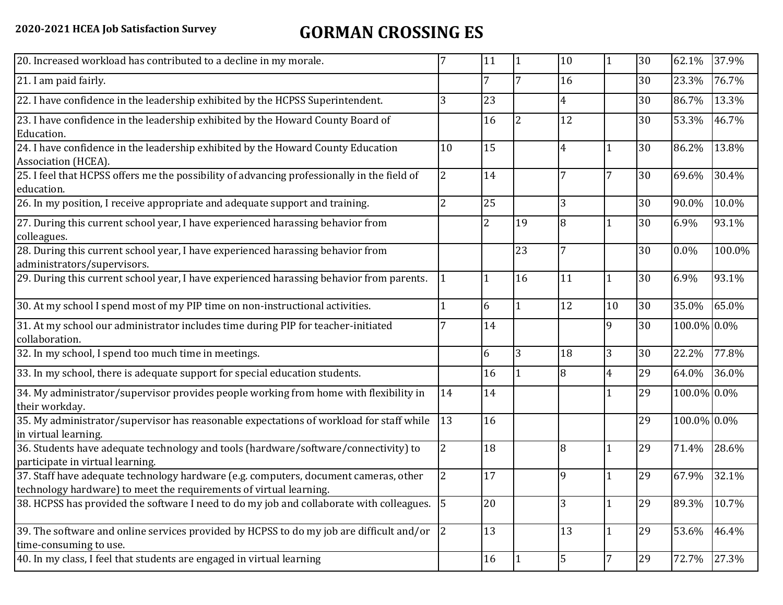## **2020-2021 HCEA Job Satisfaction Survey GORMAN CROSSING ES**

| 20. Increased workload has contributed to a decline in my morale.                                                                                          |                | 11             | $\vert$ 1      | 10             | $\vert$ 1      | 30 | 62.1%       | 37.9%  |
|------------------------------------------------------------------------------------------------------------------------------------------------------------|----------------|----------------|----------------|----------------|----------------|----|-------------|--------|
| 21. I am paid fairly.                                                                                                                                      |                | 7              |                | 16             |                | 30 | 23.3%       | 76.7%  |
| 22. I have confidence in the leadership exhibited by the HCPSS Superintendent.                                                                             | 3              | 23             |                | $\overline{4}$ |                | 30 | 86.7%       | 13.3%  |
| 23. I have confidence in the leadership exhibited by the Howard County Board of<br>Education.                                                              |                | 16             |                | 12             |                | 30 | 53.3%       | 46.7%  |
| 24. I have confidence in the leadership exhibited by the Howard County Education<br>Association (HCEA).                                                    | 10             | 15             |                | 4              |                | 30 | 86.2%       | 13.8%  |
| 25. I feel that HCPSS offers me the possibility of advancing professionally in the field of<br>education.                                                  | $\overline{2}$ | 14             |                |                | 7              | 30 | 69.6%       | 30.4%  |
| 26. In my position, I receive appropriate and adequate support and training.                                                                               | $\overline{2}$ | 25             |                | 3              |                | 30 | 90.0%       | 10.0%  |
| 27. During this current school year, I have experienced harassing behavior from<br>colleagues.                                                             |                | $\overline{2}$ | 19             | 8              |                | 30 | 6.9%        | 93.1%  |
| 28. During this current school year, I have experienced harassing behavior from<br>administrators/supervisors.                                             |                |                | 23             |                |                | 30 | $0.0\%$     | 100.0% |
| 29. During this current school year, I have experienced harassing behavior from parents.                                                                   | $\mathbf{1}$   | $\overline{1}$ | 16             | 11             |                | 30 | 6.9%        | 93.1%  |
| 30. At my school I spend most of my PIP time on non-instructional activities.                                                                              |                | 6              |                | 12             | 10             | 30 | 35.0%       | 65.0%  |
| 31. At my school our administrator includes time during PIP for teacher-initiated<br>collaboration.                                                        |                | 14             |                |                | 9              | 30 | 100.0% 0.0% |        |
| 32. In my school, I spend too much time in meetings.                                                                                                       |                | 6              | $\overline{3}$ | 18             | $\overline{3}$ | 30 | 22.2%       | 77.8%  |
| 33. In my school, there is adequate support for special education students.                                                                                |                | 16             |                | 8              | 4              | 29 | 64.0%       | 36.0%  |
| 34. My administrator/supervisor provides people working from home with flexibility in<br>their workday.                                                    | 14             | 14             |                |                | $\mathbf{1}$   | 29 | 100.0% 0.0% |        |
| 35. My administrator/supervisor has reasonable expectations of workload for staff while<br>in virtual learning.                                            | 13             | 16             |                |                |                | 29 | 100.0% 0.0% |        |
| 36. Students have adequate technology and tools (hardware/software/connectivity) to<br>participate in virtual learning.                                    | $\overline{2}$ | 18             |                | 8              |                | 29 | 71.4%       | 28.6%  |
| 37. Staff have adequate technology hardware (e.g. computers, document cameras, other<br>technology hardware) to meet the requirements of virtual learning. | $\overline{2}$ | 17             |                | 9              | 1              | 29 | 67.9%       | 32.1%  |
| 38. HCPSS has provided the software I need to do my job and collaborate with colleagues.                                                                   | 15             | 20             |                | 3              |                | 29 | 89.3%       | 10.7%  |
| 39. The software and online services provided by HCPSS to do my job are difficult and/or<br>time-consuming to use.                                         | 2              | 13             |                | 13             | $\mathbf{1}$   | 29 | 53.6%       | 46.4%  |
| 40. In my class, I feel that students are engaged in virtual learning                                                                                      |                | 16             |                | 5              | 7              | 29 | 72.7%       | 27.3%  |